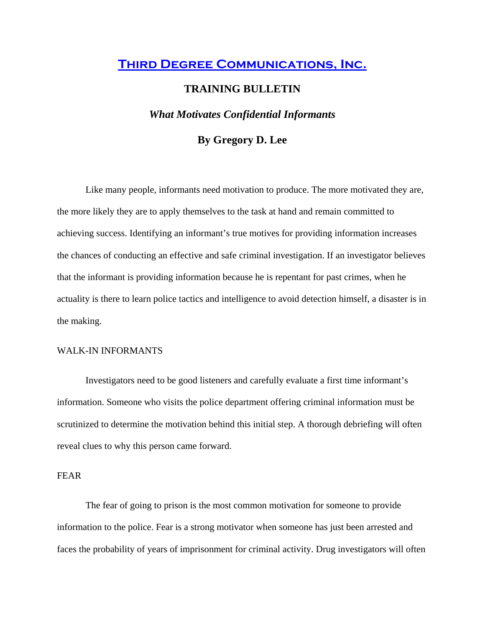# **Third Degree Communications, Inc.**

# **TRAINING BULLETIN**

# *What Motivates Confidential Informants*

# **By Gregory D. Lee**

Like many people, informants need motivation to produce. The more motivated they are, the more likely they are to apply themselves to the task at hand and remain committed to achieving success. Identifying an informant's true motives for providing information increases the chances of conducting an effective and safe criminal investigation. If an investigator believes that the informant is providing information because he is repentant for past crimes, when he actuality is there to learn police tactics and intelligence to avoid detection himself, a disaster is in the making.

#### WALK-IN INFORMANTS

Investigators need to be good listeners and carefully evaluate a first time informant's information. Someone who visits the police department offering criminal information must be scrutinized to determine the motivation behind this initial step. A thorough debriefing will often reveal clues to why this person came forward.

### FEAR

The fear of going to prison is the most common motivation for someone to provide information to the police. Fear is a strong motivator when someone has just been arrested and faces the probability of years of imprisonment for criminal activity. Drug investigators will often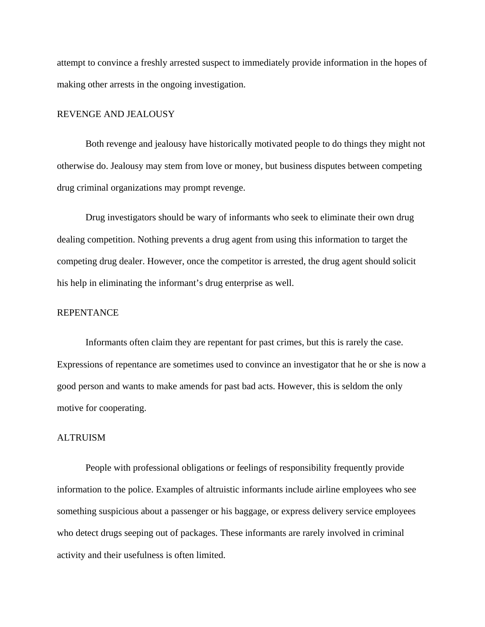attempt to convince a freshly arrested suspect to immediately provide information in the hopes of making other arrests in the ongoing investigation.

#### REVENGE AND JEALOUSY

Both revenge and jealousy have historically motivated people to do things they might not otherwise do. Jealousy may stem from love or money, but business disputes between competing drug criminal organizations may prompt revenge.

 Drug investigators should be wary of informants who seek to eliminate their own drug dealing competition. Nothing prevents a drug agent from using this information to target the competing drug dealer. However, once the competitor is arrested, the drug agent should solicit his help in eliminating the informant's drug enterprise as well.

#### REPENTANCE

Informants often claim they are repentant for past crimes, but this is rarely the case. Expressions of repentance are sometimes used to convince an investigator that he or she is now a good person and wants to make amends for past bad acts. However, this is seldom the only motive for cooperating.

#### ALTRUISM

People with professional obligations or feelings of responsibility frequently provide information to the police. Examples of altruistic informants include airline employees who see something suspicious about a passenger or his baggage, or express delivery service employees who detect drugs seeping out of packages. These informants are rarely involved in criminal activity and their usefulness is often limited.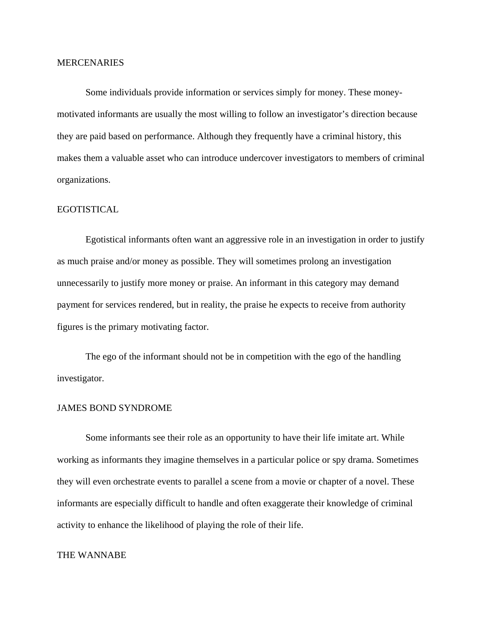#### **MERCENARIES**

Some individuals provide information or services simply for money. These moneymotivated informants are usually the most willing to follow an investigator's direction because they are paid based on performance. Although they frequently have a criminal history, this makes them a valuable asset who can introduce undercover investigators to members of criminal organizations.

### EGOTISTICAL

 Egotistical informants often want an aggressive role in an investigation in order to justify as much praise and/or money as possible. They will sometimes prolong an investigation unnecessarily to justify more money or praise. An informant in this category may demand payment for services rendered, but in reality, the praise he expects to receive from authority figures is the primary motivating factor.

 The ego of the informant should not be in competition with the ego of the handling investigator.

#### JAMES BOND SYNDROME

Some informants see their role as an opportunity to have their life imitate art. While working as informants they imagine themselves in a particular police or spy drama. Sometimes they will even orchestrate events to parallel a scene from a movie or chapter of a novel. These informants are especially difficult to handle and often exaggerate their knowledge of criminal activity to enhance the likelihood of playing the role of their life.

## THE WANNABE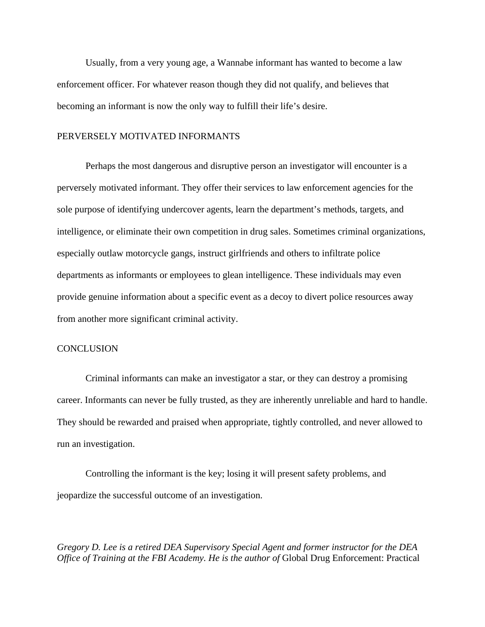Usually, from a very young age, a Wannabe informant has wanted to become a law enforcement officer. For whatever reason though they did not qualify, and believes that becoming an informant is now the only way to fulfill their life's desire.

### PERVERSELY MOTIVATED INFORMANTS

Perhaps the most dangerous and disruptive person an investigator will encounter is a perversely motivated informant. They offer their services to law enforcement agencies for the sole purpose of identifying undercover agents, learn the department's methods, targets, and intelligence, or eliminate their own competition in drug sales. Sometimes criminal organizations, especially outlaw motorcycle gangs, instruct girlfriends and others to infiltrate police departments as informants or employees to glean intelligence. These individuals may even provide genuine information about a specific event as a decoy to divert police resources away from another more significant criminal activity.

### **CONCLUSION**

 Criminal informants can make an investigator a star, or they can destroy a promising career. Informants can never be fully trusted, as they are inherently unreliable and hard to handle. They should be rewarded and praised when appropriate, tightly controlled, and never allowed to run an investigation.

 Controlling the informant is the key; losing it will present safety problems, and jeopardize the successful outcome of an investigation.

*Gregory D. Lee is a retired DEA Supervisory Special Agent and former instructor for the DEA Office of Training at the FBI Academy. He is the author of Global Drug Enforcement: Practical*